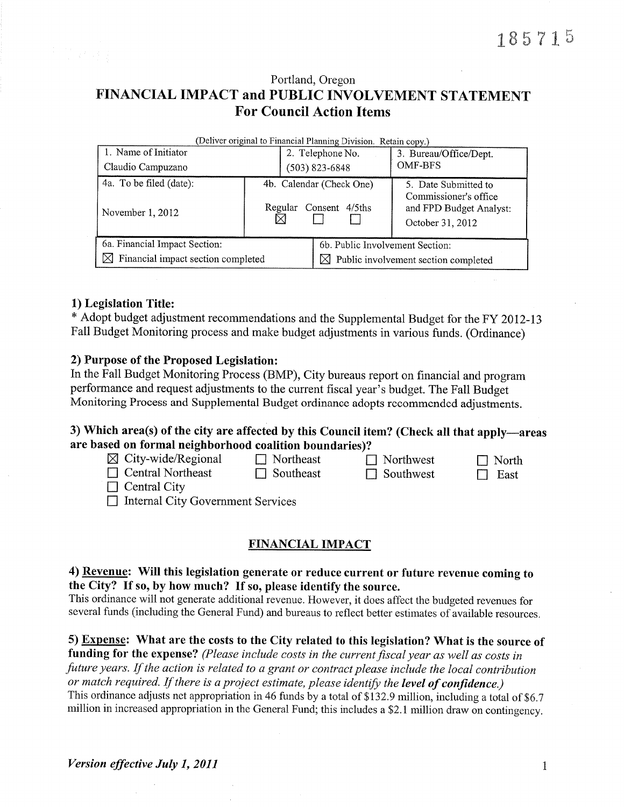# Portland, Oregon FINANCIAL IMPACT and PUBLIC INVOLVEMENT STATEMENT **For Council Action Items**

| (Deliver original to Financial Planning Division. Retain copy.) |  |                                |                                                                      |  |  |  |  |
|-----------------------------------------------------------------|--|--------------------------------|----------------------------------------------------------------------|--|--|--|--|
| 1. Name of Initiator                                            |  | 2. Telephone No.               | 3. Bureau/Office/Dept.                                               |  |  |  |  |
| Claudio Campuzano                                               |  | $(503) 823 - 6848$             | <b>OMF-BFS</b>                                                       |  |  |  |  |
| 4a. To be filed (date):                                         |  | 4b. Calendar (Check One)       | 5. Date Submitted to                                                 |  |  |  |  |
| November 1, 2012                                                |  | Regular<br>Consent 4/5ths<br>⊠ | Commissioner's office<br>and FPD Budget Analyst:<br>October 31, 2012 |  |  |  |  |
| 6a. Financial Impact Section:                                   |  |                                | 6b. Public Involvement Section:                                      |  |  |  |  |
| $\boxtimes$ Financial impact section completed                  |  |                                | $\boxtimes$ Public involvement section completed                     |  |  |  |  |

### 1) Legislation Title:

| * Adopt budget adjustment recommendations and the Supplemental Budget for the FY 2012-13 |  |  |  |  |
|------------------------------------------------------------------------------------------|--|--|--|--|
| Fall Budget Monitoring process and make budget adjustments in various funds. (Ordinance) |  |  |  |  |

### 2) Purpose of the Proposed Legislation:

In the Fall Budget Monitoring Process (BMP), City bureaus report on financial and program performance and request adjustments to the current fiscal year's budget. The Fall Budget Monitoring Process and Supplemental Budget ordinance adopts recommended adjustments.

### 3) Which area(s) of the city are affected by this Council item? (Check all that apply—areas are based on formal neighborhood coalition boundaries)?

| $\boxtimes$ City-wide/Regional<br>$\Box$ Central Northeast<br>$\Box$ Central City | $\Box$ Northeast<br>$\Box$ Southeast | $\Box$ Northwest<br>$\Box$ Southwest | $\Box$ North<br>$\Box$ East |
|-----------------------------------------------------------------------------------|--------------------------------------|--------------------------------------|-----------------------------|
| $\Box$ Internal City Government Services                                          |                                      |                                      |                             |

### **FINANCIAL IMPACT**

## 4) Revenue: Will this legislation generate or reduce current or future revenue coming to the City? If so, by how much? If so, please identify the source.

This ordinance will not generate additional revenue. However, it does affect the budgeted revenues for several funds (including the General Fund) and bureaus to reflect better estimates of available resources.

### 5) Expense: What are the costs to the City related to this legislation? What is the source of

funding for the expense? (Please include costs in the current fiscal year as well as costs in future years. If the action is related to a grant or contract please include the local contribution or match required. If there is a project estimate, please identify the level of confidence.) This ordinance adjusts net appropriation in 46 funds by a total of \$132.9 million, including a total of \$6.7 million in increased appropriation in the General Fund; this includes a \$2.1 million draw on contingency.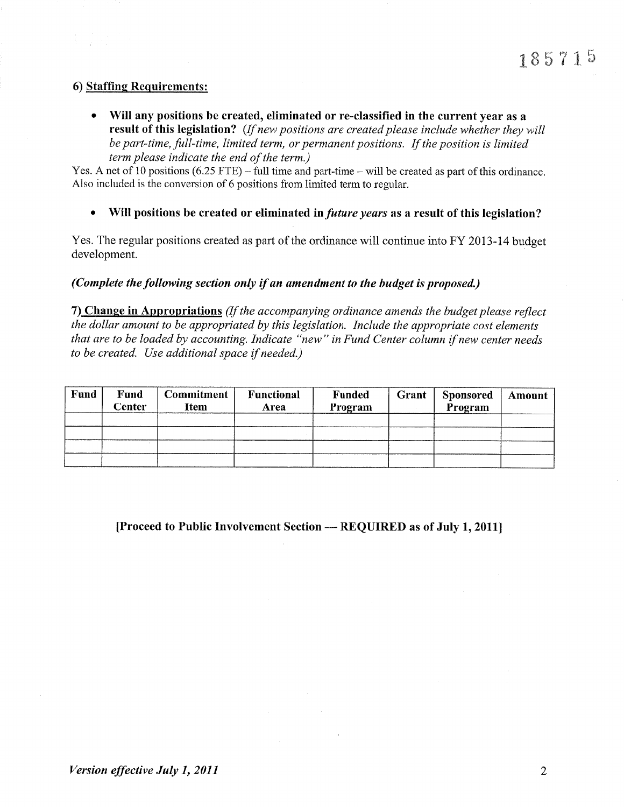### 6) Staffing Requirements:

Will any positions be created, eliminated or re-classified in the current year as a result of this legislation? (If new positions are created please include whether they will be part-time, full-time, limited term, or permanent positions. If the position is limited term please indicate the end of the term.)

Yes. A net of 10 positions (6.25 FTE) – full time and part-time – will be created as part of this ordinance. Also included is the conversion of 6 positions from limited term to regular.

• Will positions be created or eliminated in *future years* as a result of this legislation?

Yes. The regular positions created as part of the ordinance will continue into FY 2013-14 budget development.

#### (Complete the following section only if an amendment to the budget is proposed.)

7) Change in Appropriations (If the accompanying ordinance amends the budget please reflect the dollar amount to be appropriated by this legislation. Include the appropriate cost elements that are to be loaded by accounting. Indicate "new" in Fund Center column if new center needs to be created. Use additional space if needed.)

| Fund | <b>Fund</b><br><b>Center</b> | <b>Commitment</b><br>Item | Functional<br>Area | <b>Funded</b><br>Program | Grant | <b>Sponsored</b><br>Program | Amount |
|------|------------------------------|---------------------------|--------------------|--------------------------|-------|-----------------------------|--------|
|      |                              |                           |                    |                          |       |                             |        |
|      |                              |                           |                    |                          |       |                             |        |
|      |                              |                           |                    |                          |       |                             |        |
|      |                              |                           |                    |                          |       |                             |        |

### [Proceed to Public Involvement Section  $-$  REQUIRED as of July 1, 2011]